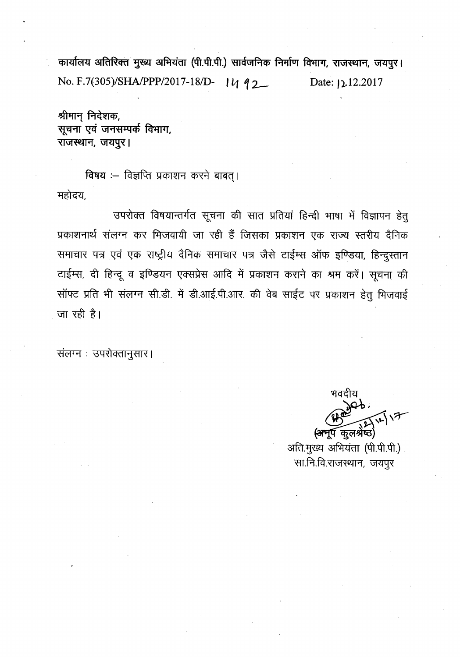कार्यालय अतिरिक्त मुख्य अभियंता (पी.पी.पी.) सार्वजनिक निर्माण विभाग, राजस्थान, जयपूर। No. F.7(305)/SHA/PPP/2017-18/D- 14 92 Date: 12.12.2017

श्रीमान् निदेशक, सूचना एवं जनसम्पर्क विभाग, राजस्थान, जयपुर।

विषय :-- विज्ञप्ति प्रकाशन करने बाबत्। महोदय,

उपरोक्त विषयान्तर्गत सूचना की सात प्रतियां हिन्दी भाषा में विज्ञापन हेतू प्रकाशनार्थ संलग्न कर भिजवायी जा रही हैं जिसका प्रकाशन एक राज्य स्तरीय दैनिक समाचार पत्र एवं एक राष्ट्रीय दैनिक समाचार पत्र जैसे टाईम्स ऑफ इण्डिया, हिन्दुस्तान टाईम्स, दी हिन्दू व इण्डियन एक्सप्रेस आदि में प्रकाशन कराने का श्रम करें। सूचना की सॉफ्ट प्रति भी संलग्न सी.डी. में डी.आई.पी.आर. की वेब साईट पर प्रकाशन हेतु भिजवाई जा रही है।

संलग्न: उपरोक्तानुसार।

~  $\bigoplus_{i=1}^{\infty}$ <del>(अनू</del>प कुलश्रेष्ठ

अति.मुख्य अभियंता (पी.पी.पी.) सा.नि.वि.राजस्थान, जयपुर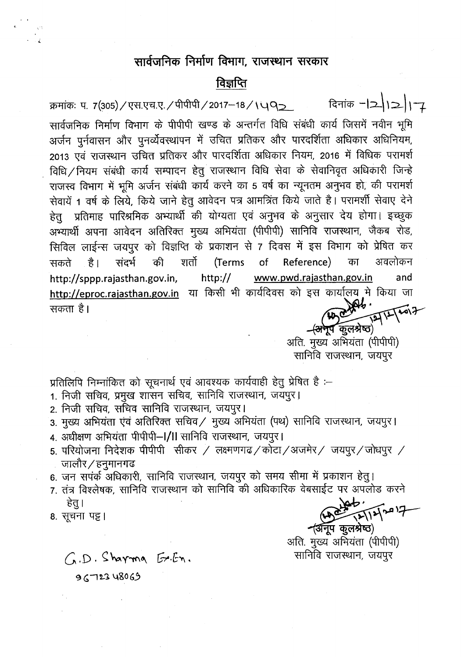# सार्वजनिक निर्माण विभाग, राजस्थान सरकार

### विज्ञप्ति

क्रमांकः प. 7(305)/एस.एच.ए./पीपीपी/2017-18/\YQ\_ विनांक -21211

*" i.*

'<br>'सार्वजनिक निर्माण विभाग के पीपीपी खण्ड के अन्तर्गत विधि संबंधी कार्य जिसमें नवीन भू अर्जन पूर्नवासन और पूनर्व्येवस्थापन में उचित प्रतिकर और पारदर्शिता अधिकार अधिनियम, 2013 एवं राजस्थान उचित प्रतिकर और पारदर्शिता अधिकार नियम, 2016 में विधिक परामर्श 2013 एवं राजस्थान जायत प्रातंकर जार भारवारात जावकार नावन, 2010 ने विविक्ष परानरा<br>विधि∕नियम संबंधी कार्य सम्पादन हेतु राजस्थान विधि सेवा के सेवानिवृत अधिकारी जिन्हे राजस्व विभाग में भूमि अर्जन संबंधी कार्य करने का 5 वर्ष का न्यूनतम अनुभव हो, की परामर्श राजस्व विमाग न मूम अजन सबवा काव करना का 5 वर्ष का न्यूनरान अनुमव हो, का परानर<br>सेवायें 1 वर्ष के लिये, किये जाने हेतु आवेदन पत्र आमत्रिंत किये जाते है। परामर्शी सेवाए दे हेत प्रतिमाह पारिश्रमिक अभ्यार्थी की योग्यता एवं अनुभव के अनुसार देय होगा। इच्छुक अभ्यार्थी अपना आवेदन अतिरिक्त मुख्य अभियंता (पीपीपी) सानिवि राजस्थान, जैकब रोड, अन्याया अपना आपदन आतारपत नुख्य आनंपता (भनाना) तालांव तजरवान, जकव तत्<br>सिविल लाईन्स जयपुर को विज्ञप्ति के प्रकाशन से 7 दिवस में इस विभाग को प्रेषित क ।सावल लाइन्स जयपुर का मिझाया के प्रकारांग से 7 म्पिस ने इस मिनान का प्रायता कर<br>सकते हैं। संदर्भ की शर्तो (Terms of Reference) का अवलोकन http://sppp.rajasthan.gov.in, http:// www.pwd.rajasthan.gov.in and http://eproc.rajasthan.gov.in या किसी भी कार्यदिवस को इस कार्यालय में किया जा<br>सकता है। 'fi CfI ctI "5 I '-t::Jl • *,.Kr"'" \ \~ ~\y*

नूप $\widetilde{\phantom{a}}$ कुलश्रेष्ठ $\rangle$ अति. मुख्य अभियंता (पीपीपी) सानिवि राजस्थान, जयपुर

प्रतिलिपि निम्नांकित को सूचनार्थ एवं आवश्यक कार्यवाही हेतु प्रेषित है :-

- 1. निजी सचिव, प्रमुख शासन सचिव, सानिवि राजस्थान, जयपुर।
- 2. निजी सचिव. सचिव सानिवि राजस्थान, जयपुर।
- 3. मुख्य अभियंता एंवं अतिरिक्त सचिव/ मुख्य अभियंता (पथ) सानिवि राजस्थान, जयपुर।
- 4. अधीक्षण अभियंता पीपीपी-I/II सानिवि राजस्थान, जयपुर।
- 5. परियोजना निदेशक पीपीपी सीकर / लक्ष्मणगढ/कोटा/अजमेर/ जयपुर/जोधपुर / ाालौर $\times$ हनूमानगढ
- 6. जन सपंर्क अधिकारी, सानिवि राजस्थान, जयपुर को समय सीमा में प्रकाशन हेतु।
- 7. तंत्र विश्लेषक, सानिवि राजस्थान को सानिवि की अधिकारिक वेबसाईट पर अपलोड करने  $_{\text{eq}}$   $\sim$   $\mu$

हेतु ।<br>8. सूचना पष्ट ।

 $\neg$ अनुप कुलश्रेष्ठ) आति. मुख्य अभियंता (पीपीपी)  $C_A$ . $D$ .  $S$ haymo  $E$ . $E_N$ .

 $9672348069$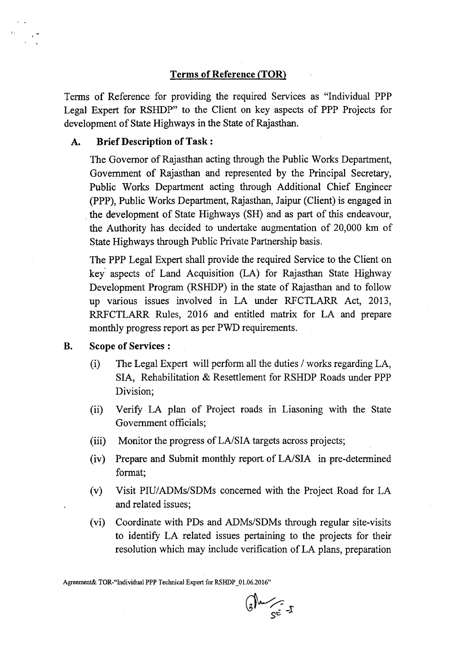#### Terms of Reference (TOR)

Terms of Reference for providing the required Services as "Individual PPP Legal Expert for RSHDP" to the Client on key aspects of PPP Projects for development of State Highways in the State of Rajasthan.

#### A. Brief Description of Task:

r .

The Governor of Rajasthan acting through the Public Works Department, Government of Rajasthan and represented by the Principal Secretary, Public Works Department acting through Additional Chief Engineer (PPP), Public Works Department, Rajasthan, Jaipur (Client) is engaged in the development of State Highways (SH) and as part of this endeavour, the Authority has decided to undertake augmentation of 20,000 km of State Highways through Public Private Partnership basis.

The PPP Legal Expert shall provide the required Service to the Client on key' aspects of Land Acquisition (LA) for Rajasthan State Highway Development Program (RSHDP) in the state of Rajasthan and to follow up various issues' involved in LA under RFCTLARR Act, 2013, RRFCTLARR Rules, 2016 and entitled matrix for LA and prepare monthly progress report as per PWD requirements.

- B. Scope of Services :
	- (i) The Legal Expert will perform all the duties *I* works regarding LA, SIA, Rehabilitation & Resettlement for RSHDP Roads under PPP Division;
	- (ii) Verify LA plan of Project roads in Liasoning with the State Government officials;
	- (iii) Monitor the progress of LA/SIA targets across projects;
	- (iv) Prepare and Submit monthly report of LA/SIA in pre-determined format;
	- (v) Visit PIU/ADMs/SDMs concerned with the Project Road for LA and related issues;
	- (vi) Coordinate with PDs and *ADMs/SDMs* through regular site-visits to identify LA related issues pertaining to the projects for their resolution which may include verification of LA plans, preparation

Agreement& TOR-"Individual PPP Technical Expert for RSHDP\_01.06.2016"

 $G^{\mu}$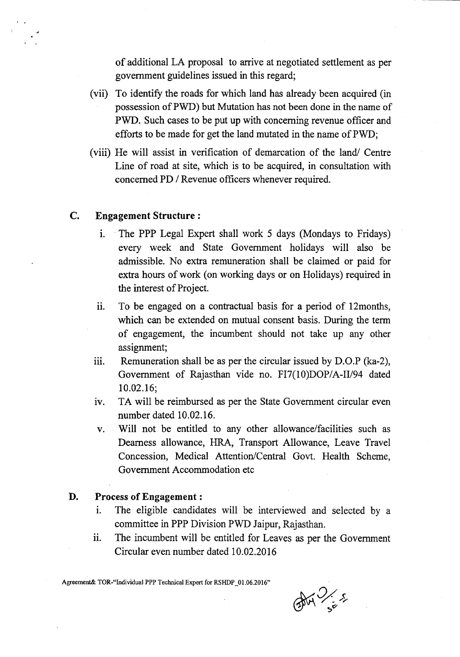of additional LA proposal to arrive at negotiated settlement as per government guidelines issued in this regard;

- (vii) To identify the roads for which land has already been acquired (in possession ofPWD) but Mutation has not been done in the name of PWD. Such cases to be put up with concerning revenue officer and efforts to be made for get the land mutated in the name of PWD;
- (viii) He will assist in verification of demarcation of the land/ Centre Line of road at site, which is to be acquired, in consultation with concerned PD / Revenue officers whenever required.

#### c. Engagement Structure:

- 1. . The PPP Legal Expert shall work 5 days (Mondays to Fridays) every week and State Government holidays will also be admissible. No extra remuneration shall be claimed or paid for extra hours of work (on working days or on Holidays) required in the interest of Project.
- ii. To be engaged on a contractual basis for a period of 12months, which can be extended on mutual consent basis. During the term of engagement, the incumbent should not take up any other assignment;
- iii. Remuneration shall be as per the circular issued by  $D.O.P$  (ka-2), Government of Rajasthan vide no. FI7(10)DOP/A-II/94 dated 10.02.16;
- iv. TA will be reimbursed as per the State Government circular even number dated 10.02.16.
- v. Will not be entitled to any other allowance/facilities such as Dearness allowance, HRA, Transport Allowance, Leave Travel Concession, Medical Attention/Central Govt. Health Scheme, Government Accommodation etc

#### D. Process of Engagement:

- 1. The eligible candidates will be interviewed and selected by a committee in PPP Division PWD Jaipur, Rajasthan.
- ii. The incumbent will be entitled for Leaves as per the Government Circular even number dated 10.02.2016

Agreement& TOR-"Individual PPP Technical Expert for RSHDP\_01.06.2016"

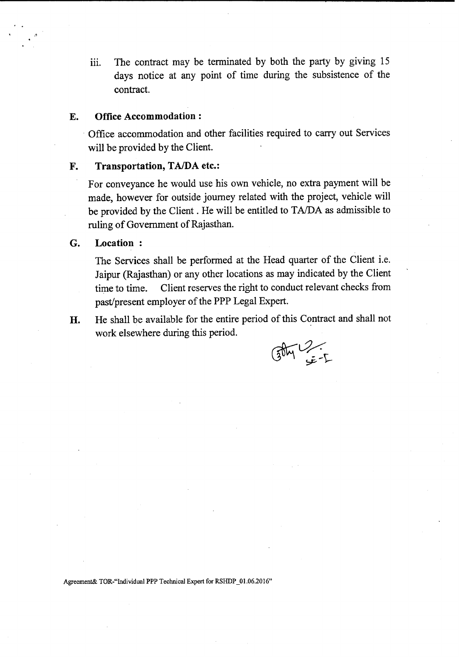iii. The contract may be terminated by both the party by giving 15 days notice at any point of time during the subsistence of the contract.

#### E. Office Accommodation:

. Office accommodation and other facilities required to carry out Services will be provided by the Client.

### F. Transportation, TA/DA etc.:

For conveyance he would use his own vehicle, no extra payment will be made, however for outside journey related with the project, vehicle will be provided by the Client. He will be entitled to TA/DA as admissible to ruling of Government of Rajasthan.

#### G. Location:

:1

The Services shall be performed at the Head quarter of the Client i.e. Jaipur (Rajasthan) or any other locations as may indicated by the Client time to time. Client reserves the right to conduct relevant checks from past/present employer of the PPP Legal Expert.

H. He shall be available for the entire period of this Contract and shall not work elsewhere during this period.

 $G_{\text{DM}}$ 

Agreement& TOR-"Individual PPP Technical Expert for RSHDP\_01.06.2016"